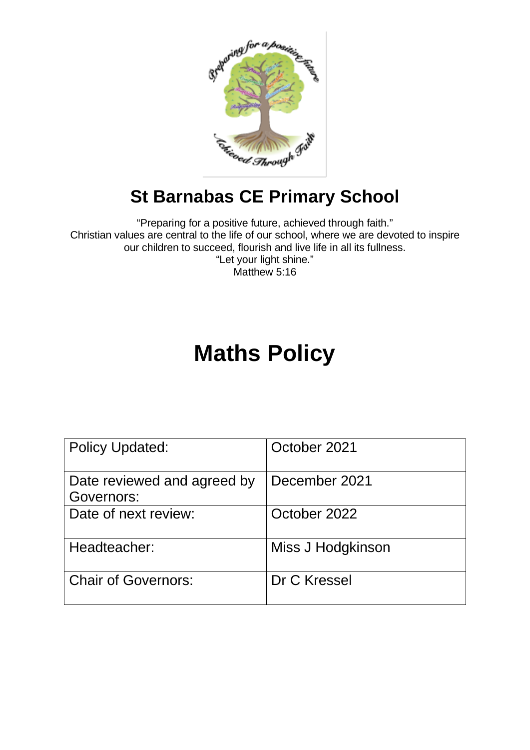

# **St Barnabas CE Primary School**

"Preparing for a positive future, achieved through faith." Christian values are central to the life of our school, where we are devoted to inspire our children to succeed, flourish and live life in all its fullness. "Let your light shine." Matthew 5:16

# **Maths Policy**

| <b>Policy Updated:</b>                    | October 2021      |
|-------------------------------------------|-------------------|
| Date reviewed and agreed by<br>Governors: | December 2021     |
| Date of next review:                      | October 2022      |
| Headteacher:                              | Miss J Hodgkinson |
| <b>Chair of Governors:</b>                | Dr C Kressel      |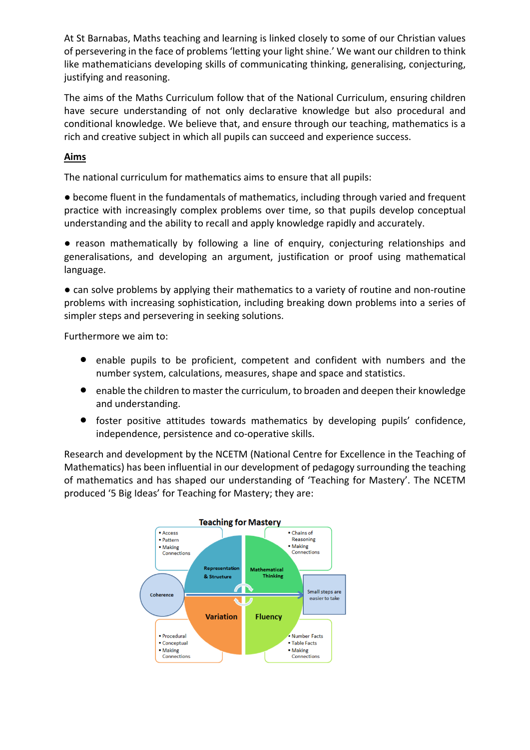At St Barnabas, Maths teaching and learning is linked closely to some of our Christian values of persevering in the face of problems 'letting your light shine.' We want our children to think like mathematicians developing skills of communicating thinking, generalising, conjecturing, justifying and reasoning.

The aims of the Maths Curriculum follow that of the National Curriculum, ensuring children have secure understanding of not only declarative knowledge but also procedural and conditional knowledge. We believe that, and ensure through our teaching, mathematics is a rich and creative subject in which all pupils can succeed and experience success.

## **Aims**

The national curriculum for mathematics aims to ensure that all pupils:

● become fluent in the fundamentals of mathematics, including through varied and frequent practice with increasingly complex problems over time, so that pupils develop conceptual understanding and the ability to recall and apply knowledge rapidly and accurately.

● reason mathematically by following a line of enquiry, conjecturing relationships and generalisations, and developing an argument, justification or proof using mathematical language.

● can solve problems by applying their mathematics to a variety of routine and non-routine problems with increasing sophistication, including breaking down problems into a series of simpler steps and persevering in seeking solutions.

Furthermore we aim to:

- enable pupils to be proficient, competent and confident with numbers and the number system, calculations, measures, shape and space and statistics.
- enable the children to master the curriculum, to broaden and deepen their knowledge and understanding.
- foster positive attitudes towards mathematics by developing pupils' confidence, independence, persistence and co-operative skills.

Research and development by the NCETM (National Centre for Excellence in the Teaching of Mathematics) has been influential in our development of pedagogy surrounding the teaching of mathematics and has shaped our understanding of 'Teaching for Mastery'. The NCETM produced '5 Big Ideas' for Teaching for Mastery; they are:

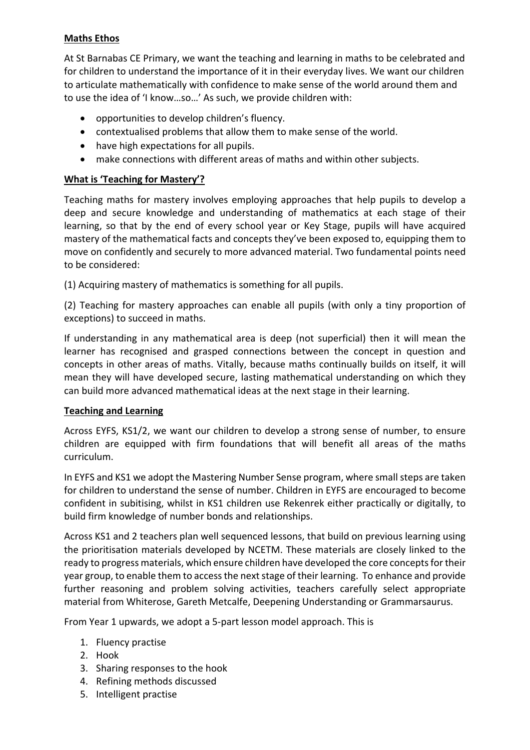### **Maths Ethos**

At St Barnabas CE Primary, we want the teaching and learning in maths to be celebrated and for children to understand the importance of it in their everyday lives. We want our children to articulate mathematically with confidence to make sense of the world around them and to use the idea of 'I know…so…' As such, we provide children with:

- opportunities to develop children's fluency.
- contextualised problems that allow them to make sense of the world.
- have high expectations for all pupils.
- make connections with different areas of maths and within other subjects.

#### **What is 'Teaching for Mastery'?**

Teaching maths for mastery involves employing approaches that help pupils to develop a deep and secure knowledge and understanding of mathematics at each stage of their learning, so that by the end of every school year or Key Stage, pupils will have acquired mastery of the mathematical facts and concepts they've been exposed to, equipping them to move on confidently and securely to more advanced material. Two fundamental points need to be considered:

(1) Acquiring mastery of mathematics is something for all pupils.

(2) Teaching for mastery approaches can enable all pupils (with only a tiny proportion of exceptions) to succeed in maths.

If understanding in any mathematical area is deep (not superficial) then it will mean the learner has recognised and grasped connections between the concept in question and concepts in other areas of maths. Vitally, because maths continually builds on itself, it will mean they will have developed secure, lasting mathematical understanding on which they can build more advanced mathematical ideas at the next stage in their learning.

#### **Teaching and Learning**

Across EYFS, KS1/2, we want our children to develop a strong sense of number, to ensure children are equipped with firm foundations that will benefit all areas of the maths curriculum.

In EYFS and KS1 we adopt the Mastering Number Sense program, where small steps are taken for children to understand the sense of number. Children in EYFS are encouraged to become confident in subitising, whilst in KS1 children use Rekenrek either practically or digitally, to build firm knowledge of number bonds and relationships.

Across KS1 and 2 teachers plan well sequenced lessons, that build on previous learning using the prioritisation materials developed by NCETM. These materials are closely linked to the ready to progress materials, which ensure children have developed the core concepts for their year group, to enable them to access the next stage of their learning. To enhance and provide further reasoning and problem solving activities, teachers carefully select appropriate material from Whiterose, Gareth Metcalfe, Deepening Understanding or Grammarsaurus.

From Year 1 upwards, we adopt a 5-part lesson model approach. This is

- 1. Fluency practise
- 2. Hook
- 3. Sharing responses to the hook
- 4. Refining methods discussed
- 5. Intelligent practise